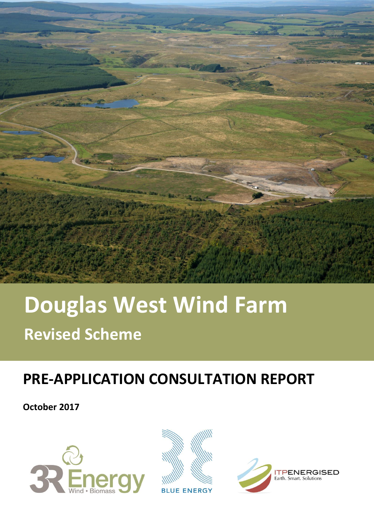

# **Douglas West Wind Farm Revised Scheme**

# **PRE-APPLICATION CONSULTATION REPORT**

**October 2017**





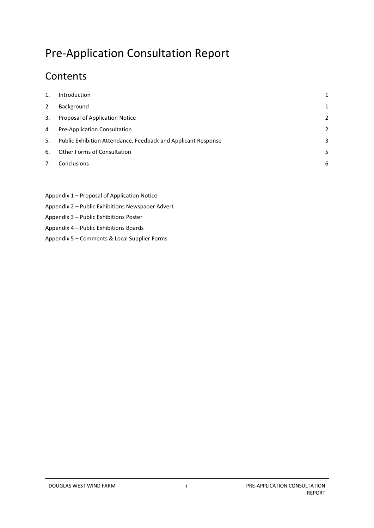# Pre-Application Consultation Report

# **Contents**

| $\mathbf{1}$ . | Introduction                                                  | 1              |
|----------------|---------------------------------------------------------------|----------------|
| 2.             | Background                                                    | 1              |
| 3.             | Proposal of Application Notice                                | 2              |
| 4.             | Pre-Application Consultation                                  | $\overline{2}$ |
| 5.             | Public Exhibition Attendance, Feedback and Applicant Response | 3              |
| 6.             | <b>Other Forms of Consultation</b>                            | 5              |
| 7.             | Conclusions                                                   | 6              |
|                |                                                               |                |

- Appendix 1 Proposal of Application Notice
- Appendix 2 Public Exhibitions Newspaper Advert
- Appendix 3 Public Exhibitions Poster
- Appendix 4 Public Exhibitions Boards
- Appendix 5 Comments & Local Supplier Forms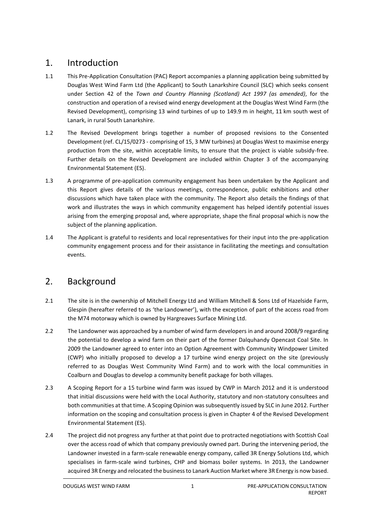## <span id="page-4-0"></span>1. Introduction

- 1.1 This Pre-Application Consultation (PAC) Report accompanies a planning application being submitted by Douglas West Wind Farm Ltd (the Applicant) to South Lanarkshire Council (SLC) which seeks consent under Section 42 of the *Town and Country Planning (Scotland) Act 1997 (as amended)*, for the construction and operation of a revised wind energy development at the Douglas West Wind Farm (the Revised Development), comprising 13 wind turbines of up to 149.9 m in height, 11 km south west of Lanark, in rural South Lanarkshire.
- 1.2 The Revised Development brings together a number of proposed revisions to the Consented Development (ref. CL/15/0273 - comprising of 15, 3 MW turbines) at Douglas West to maximise energy production from the site, within acceptable limits, to ensure that the project is viable subsidy-free. Further details on the Revised Development are included within Chapter 3 of the accompanying Environmental Statement (ES).
- 1.3 A programme of pre-application community engagement has been undertaken by the Applicant and this Report gives details of the various meetings, correspondence, public exhibitions and other discussions which have taken place with the community. The Report also details the findings of that work and illustrates the ways in which community engagement has helped identify potential issues arising from the emerging proposal and, where appropriate, shape the final proposal which is now the subject of the planning application.
- 1.4 The Applicant is grateful to residents and local representatives for their input into the pre-application community engagement process and for their assistance in facilitating the meetings and consultation events.

# <span id="page-4-1"></span>2. Background

- 2.1 The site is in the ownership of Mitchell Energy Ltd and William Mitchell & Sons Ltd of Hazelside Farm, Glespin (hereafter referred to as 'the Landowner'), with the exception of part of the access road from the M74 motorway which is owned by Hargreaves Surface Mining Ltd.
- 2.2 The Landowner was approached by a number of wind farm developers in and around 2008/9 regarding the potential to develop a wind farm on their part of the former Dalquhandy Opencast Coal Site. In 2009 the Landowner agreed to enter into an Option Agreement with Community Windpower Limited (CWP) who initially proposed to develop a 17 turbine wind energy project on the site (previously referred to as Douglas West Community Wind Farm) and to work with the local communities in Coalburn and Douglas to develop a community benefit package for both villages.
- 2.3 A Scoping Report for a 15 turbine wind farm was issued by CWP in March 2012 and it is understood that initial discussions were held with the Local Authority, statutory and non-statutory consultees and both communities at that time. A Scoping Opinion was subsequently issued by SLC in June 2012. Further information on the scoping and consultation process is given in Chapter 4 of the Revised Development Environmental Statement (ES).
- 2.4 The project did not progress any further at that point due to protracted negotiations with Scottish Coal over the access road of which that company previously owned part. During the intervening period, the Landowner invested in a farm-scale renewable energy company, called 3R Energy Solutions Ltd, which specialises in farm-scale wind turbines, CHP and biomass boiler systems. In 2013, the Landowner acquired 3R Energy and relocated the business to Lanark Auction Market where 3R Energy is now based.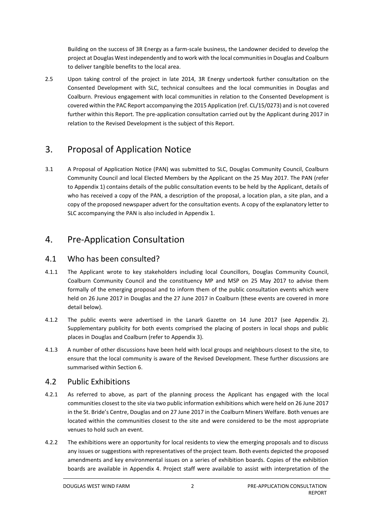Building on the success of 3R Energy as a farm-scale business, the Landowner decided to develop the project at Douglas West independently and to work with the local communities in Douglas and Coalburn to deliver tangible benefits to the local area.

2.5 Upon taking control of the project in late 2014, 3R Energy undertook further consultation on the Consented Development with SLC, technical consultees and the local communities in Douglas and Coalburn. Previous engagement with local communities in relation to the Consented Development is covered within the PAC Report accompanying the 2015 Application (ref. CL/15/0273) and is not covered further within this Report. The pre-application consultation carried out by the Applicant during 2017 in relation to the Revised Development is the subject of this Report.

# <span id="page-5-0"></span>3. Proposal of Application Notice

3.1 A Proposal of Application Notice (PAN) was submitted to SLC, Douglas Community Council, Coalburn Community Council and local Elected Members by the Applicant on the 25 May 2017. The PAN (refer to Appendix 1) contains details of the public consultation events to be held by the Applicant, details of who has received a copy of the PAN, a description of the proposal, a location plan, a site plan, and a copy of the proposed newspaper advert for the consultation events. A copy of the explanatory letter to SLC accompanying the PAN is also included in Appendix 1.

# <span id="page-5-1"></span>4. Pre-Application Consultation

#### 4.1 Who has been consulted?

- 4.1.1 The Applicant wrote to key stakeholders including local Councillors, Douglas Community Council, Coalburn Community Council and the constituency MP and MSP on 25 May 2017 to advise them formally of the emerging proposal and to inform them of the public consultation events which were held on 26 June 2017 in Douglas and the 27 June 2017 in Coalburn (these events are covered in more detail below).
- 4.1.2 The public events were advertised in the Lanark Gazette on 14 June 2017 (see Appendix 2). Supplementary publicity for both events comprised the placing of posters in local shops and public places in Douglas and Coalburn (refer to Appendix 3).
- 4.1.3 A number of other discussions have been held with local groups and neighbours closest to the site, to ensure that the local community is aware of the Revised Development. These further discussions are summarised within Section 6.

#### 4.2 Public Exhibitions

- 4.2.1 As referred to above, as part of the planning process the Applicant has engaged with the local communities closest to the site via two public information exhibitions which were held on 26 June 2017 in the St. Bride's Centre, Douglas and on 27 June 2017 in the Coalburn Miners Welfare. Both venues are located within the communities closest to the site and were considered to be the most appropriate venues to hold such an event.
- 4.2.2 The exhibitions were an opportunity for local residents to view the emerging proposals and to discuss any issues or suggestions with representatives of the project team. Both events depicted the proposed amendments and key environmental issues on a series of exhibition boards. Copies of the exhibition boards are available in Appendix 4. Project staff were available to assist with interpretation of the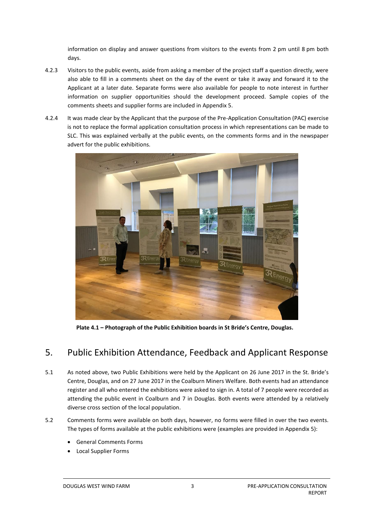information on display and answer questions from visitors to the events from 2 pm until 8 pm both days.

- 4.2.3 Visitors to the public events, aside from asking a member of the project staff a question directly, were also able to fill in a comments sheet on the day of the event or take it away and forward it to the Applicant at a later date. Separate forms were also available for people to note interest in further information on supplier opportunities should the development proceed. Sample copies of the comments sheets and supplier forms are included in Appendix 5.
- 4.2.4 It was made clear by the Applicant that the purpose of the Pre-Application Consultation (PAC) exercise is not to replace the formal application consultation process in which representations can be made to SLC. This was explained verbally at the public events, on the comments forms and in the newspaper advert for the public exhibitions.



**Plate 4.1 – Photograph of the Public Exhibition boards in St Bride's Centre, Douglas.**

## <span id="page-6-0"></span>5. Public Exhibition Attendance, Feedback and Applicant Response

- 5.1 As noted above, two Public Exhibitions were held by the Applicant on 26 June 2017 in the St. Bride's Centre, Douglas, and on 27 June 2017 in the Coalburn Miners Welfare. Both events had an attendance register and all who entered the exhibitions were asked to sign in. A total of 7 people were recorded as attending the public event in Coalburn and 7 in Douglas. Both events were attended by a relatively diverse cross section of the local population.
- 5.2 Comments forms were available on both days, however, no forms were filled in over the two events. The types of forms available at the public exhibitions were (examples are provided in Appendix 5):
	- General Comments Forms
	- Local Supplier Forms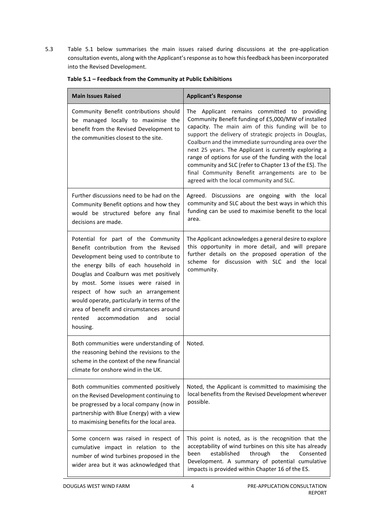5.3 Table 5.1 below summarises the main issues raised during discussions at the pre-application consultation events, along with the Applicant's response as to how this feedback has been incorporated into the Revised Development.

| <b>Main Issues Raised</b>                                                                                                                                                                                                                                                                                                                                                                                                                   | <b>Applicant's Response</b>                                                                                                                                                                                                                                                                                                                                                                                                                                                                                                                           |
|---------------------------------------------------------------------------------------------------------------------------------------------------------------------------------------------------------------------------------------------------------------------------------------------------------------------------------------------------------------------------------------------------------------------------------------------|-------------------------------------------------------------------------------------------------------------------------------------------------------------------------------------------------------------------------------------------------------------------------------------------------------------------------------------------------------------------------------------------------------------------------------------------------------------------------------------------------------------------------------------------------------|
| Community Benefit contributions should<br>be managed locally to maximise the<br>benefit from the Revised Development to<br>the communities closest to the site.                                                                                                                                                                                                                                                                             | The Applicant remains committed to providing<br>Community Benefit funding of £5,000/MW of installed<br>capacity. The main aim of this funding will be to<br>support the delivery of strategic projects in Douglas,<br>Coalburn and the immediate surrounding area over the<br>next 25 years. The Applicant is currently exploring a<br>range of options for use of the funding with the local<br>community and SLC (refer to Chapter 13 of the ES). The<br>final Community Benefit arrangements are to be<br>agreed with the local community and SLC. |
| Further discussions need to be had on the<br>Community Benefit options and how they<br>would be structured before any final<br>decisions are made.                                                                                                                                                                                                                                                                                          | Agreed. Discussions are ongoing with the local<br>community and SLC about the best ways in which this<br>funding can be used to maximise benefit to the local<br>area.                                                                                                                                                                                                                                                                                                                                                                                |
| Potential for part of the Community<br>Benefit contribution from the Revised<br>Development being used to contribute to<br>the energy bills of each household in<br>Douglas and Coalburn was met positively<br>by most. Some issues were raised in<br>respect of how such an arrangement<br>would operate, particularly in terms of the<br>area of benefit and circumstances around<br>accommodation<br>rented<br>and<br>social<br>housing. | The Applicant acknowledges a general desire to explore<br>this opportunity in more detail, and will prepare<br>further details on the proposed operation of the<br>scheme for discussion with SLC and the local<br>community.                                                                                                                                                                                                                                                                                                                         |
| Both communities were understanding of<br>the reasoning behind the revisions to the<br>scheme in the context of the new financial<br>climate for onshore wind in the UK.                                                                                                                                                                                                                                                                    | Noted.                                                                                                                                                                                                                                                                                                                                                                                                                                                                                                                                                |
| Both communities commented positively<br>on the Revised Development continuing to<br>be progressed by a local company (now in<br>partnership with Blue Energy) with a view<br>to maximising benefits for the local area.                                                                                                                                                                                                                    | Noted, the Applicant is committed to maximising the<br>local benefits from the Revised Development wherever<br>possible.                                                                                                                                                                                                                                                                                                                                                                                                                              |
| Some concern was raised in respect of<br>cumulative impact in relation to the<br>number of wind turbines proposed in the<br>wider area but it was acknowledged that                                                                                                                                                                                                                                                                         | This point is noted, as is the recognition that the<br>acceptability of wind turbines on this site has already<br>established<br>through<br>the<br>Consented<br>been<br>Development. A summary of potential cumulative<br>impacts is provided within Chapter 16 of the ES.                                                                                                                                                                                                                                                                            |

#### **Table 5.1 – Feedback from the Community at Public Exhibitions**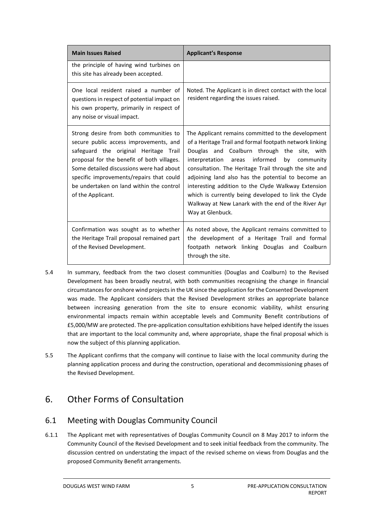| <b>Main Issues Raised</b>                                                                                                                                                                                                                                                                                                        | <b>Applicant's Response</b>                                                                                                                                                                                                                                                                                                                                                                                                                                                                                                  |
|----------------------------------------------------------------------------------------------------------------------------------------------------------------------------------------------------------------------------------------------------------------------------------------------------------------------------------|------------------------------------------------------------------------------------------------------------------------------------------------------------------------------------------------------------------------------------------------------------------------------------------------------------------------------------------------------------------------------------------------------------------------------------------------------------------------------------------------------------------------------|
| the principle of having wind turbines on<br>this site has already been accepted.                                                                                                                                                                                                                                                 |                                                                                                                                                                                                                                                                                                                                                                                                                                                                                                                              |
| One local resident raised a number of<br>questions in respect of potential impact on<br>his own property, primarily in respect of<br>any noise or visual impact.                                                                                                                                                                 | Noted. The Applicant is in direct contact with the local<br>resident regarding the issues raised.                                                                                                                                                                                                                                                                                                                                                                                                                            |
| Strong desire from both communities to<br>secure public access improvements, and<br>safeguard the original Heritage Trail<br>proposal for the benefit of both villages.<br>Some detailed discussions were had about<br>specific improvements/repairs that could<br>be undertaken on land within the control<br>of the Applicant. | The Applicant remains committed to the development<br>of a Heritage Trail and formal footpath network linking<br>Douglas and Coalburn through the site, with<br>areas informed<br>interpretation<br>by<br>community<br>consultation. The Heritage Trail through the site and<br>adjoining land also has the potential to become an<br>interesting addition to the Clyde Walkway Extension<br>which is currently being developed to link the Clyde<br>Walkway at New Lanark with the end of the River Ayr<br>Way at Glenbuck. |
| Confirmation was sought as to whether<br>the Heritage Trail proposal remained part<br>of the Revised Development.                                                                                                                                                                                                                | As noted above, the Applicant remains committed to<br>the development of a Heritage Trail and formal<br>footpath network linking Douglas and Coalburn<br>through the site.                                                                                                                                                                                                                                                                                                                                                   |

- 5.4 In summary, feedback from the two closest communities (Douglas and Coalburn) to the Revised Development has been broadly neutral, with both communities recognising the change in financial circumstances for onshore wind projects in the UK since the application for the Consented Development was made. The Applicant considers that the Revised Development strikes an appropriate balance between increasing generation from the site to ensure economic viability, whilst ensuring environmental impacts remain within acceptable levels and Community Benefit contributions of £5,000/MW are protected. The pre-application consultation exhibitions have helped identify the issues that are important to the local community and, where appropriate, shape the final proposal which is now the subject of this planning application.
- 5.5 The Applicant confirms that the company will continue to liaise with the local community during the planning application process and during the construction, operational and decommissioning phases of the Revised Development.

# <span id="page-8-0"></span>6. Other Forms of Consultation

#### 6.1 Meeting with Douglas Community Council

6.1.1 The Applicant met with representatives of Douglas Community Council on 8 May 2017 to inform the Community Council of the Revised Development and to seek initial feedback from the community. The discussion centred on understating the impact of the revised scheme on views from Douglas and the proposed Community Benefit arrangements.